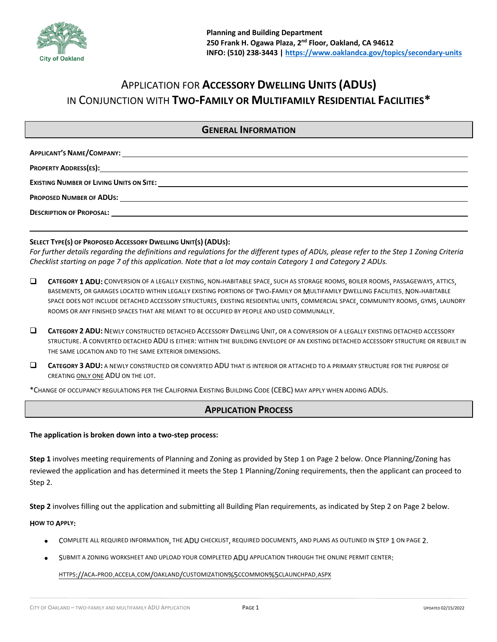

# APPLICATION FOR **ACCESSORY DWELLING UNITS (ADUS)** IN CONJUNCTION WITH **TWO-FAMILY OR MULTIFAMILY RESIDENTIAL FACILITIES\***

### **GENERAL INFORMATION**

| <b>DESCRIPTION OF PROPOSAL:</b><br><u> 1989 - Johann Stein, mars and de format de la provincia de la provincia de la provincia de la provincia de l</u> |
|---------------------------------------------------------------------------------------------------------------------------------------------------------|
|                                                                                                                                                         |

#### **SELECT TYPE(S) OF PROPOSED ACCESSORY DWELLING UNIT(S) (ADUS):**

*For further details regarding the definitions and regulations for the different types of ADUs, please refer to the Step 1 Zoning Criteria Checklist starting on page 7 of this application. Note that a lot may contain Category 1 and Category 2 ADUs.*

- $\square$  **CATEGORY 1 ADU:** CONVERSION OF A LEGALLY EXISTING, NON-HABITABLE SPACE, SUCH AS STORAGE ROOMS, BOILER ROOMS, PASSAGEWAYS, ATTICS, BASEMENTS, OR GARAGES LOCATED WITHIN LEGALLY EXISTING PORTIONS OF TWO-FAMILY OR MULTIFAMILY DWELLING FACILITIES. NON-HABITABLE SPACE DOES NOT INCLUDE DETACHED ACCESSORY STRUCTURES, EXISTING RESIDENTIAL UNITS, COMMERCIAL SPACE, COMMUNITY ROOMS, GYMS, LAUNDRY ROOMS OR ANY FINISHED SPACES THAT ARE MEANT TO BE OCCUPIED BY PEOPLE AND USED COMMUNALLY.
- $\square$  **CATEGORY 2 ADU:** NEWLY CONSTRUCTED DETACHED ACCESSORY DWELLING UNIT, OR A CONVERSION OF A LEGALLY EXISTING DETACHED ACCESSORY STRUCTURE. A CONVERTED DETACHED ADU IS EITHER: WITHIN THE BUILDING ENVELOPE OF AN EXISTING DETACHED ACCESSORY STRUCTURE OR REBUILT IN THE SAME LOCATION AND TO THE SAME EXTERIOR DIMENSIONS.
- $\square$  **CATEGORY 3 ADU:** A NEWLY CONSTRUCTED OR CONVERTED ADU THAT IS INTERIOR OR ATTACHED TO A PRIMARY STRUCTURE FOR THE PURPOSE OF CREATING ONLY ONE ADU ON THE LOT.

\*CHANGE OF OCCUPANCY REGULATIONS PER THE CALIFORNIA EXISTING BUILDING CODE (CEBC) MAY APPLY WHEN ADDING ADUS.

## **APPLICATION PROCESS**

#### **The application is broken down into a two-step process:**

**Step 1** involves meeting requirements of Planning and Zoning as provided by Step 1 on Page 2 below. Once Planning/Zoning has reviewed the application and has determined it meets the Step 1 Planning/Zoning requirements, then the applicant can proceed to Step 2.

**Step 2** involves filling out the application and submitting all Building Plan requirements, as indicated by Step 2 on Page 2 below.

#### **HOW TO APPLY:**

- COMPLETE ALL REQUIRED INFORMATION, THE ADU CHECKLIST, REQUIRED DOCUMENTS, AND PLANS AS OUTLINED IN STEP 1 ON PAGE 2.
- SUBMIT A ZONING WORKSHEET AND UPLOAD YOUR COMPLETED ADU APPLICATION THROUGH THE ONLINE PERMIT CENTER:

HTTPS://ACA-PROD.ACCELA.COM/OAKLAND/CUSTOMIZATION%5CCOMMON%5CLAUNCHPAD.ASPX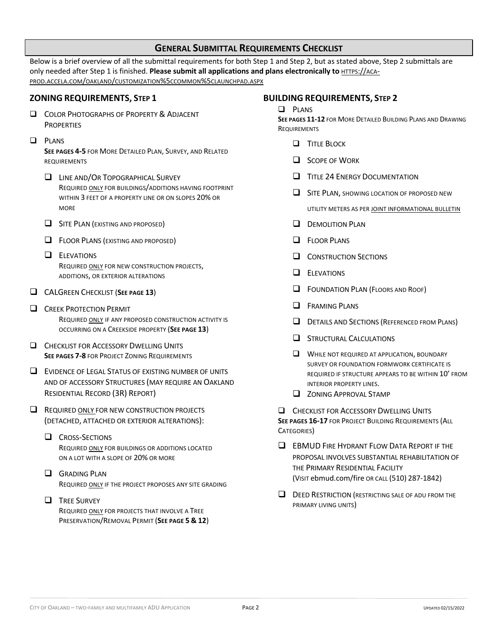## **GENERAL SUBMITTAL REQUIREMENTS CHECKLIST**

Below is a brief overview of all the submittal requirements for both Step 1 and Step 2, but as stated above, Step 2 submittals are only needed after Step 1 is finished. **Please submit all applications and plans electronically to** HTTPS://ACA-PROD.ACCELA.COM/OAKLAND/CUSTOMIZATION%5CCOMMON%5CLAUNCHPAD.ASPX

### **ZONING REQUIREMENTS, STEP 1**

- **Q COLOR PHOTOGRAPHS OF PROPERTY & ADJACENT PROPERTIES**
- **Q** PLANS

**SEE PAGES 4-5** FOR MORE DETAILED PLAN, SURVEY, AND RELATED REQUIREMENTS

- **Q LINE AND/OR TOPOGRAPHICAL SURVEY** REQUIRED ONLY FOR BUILDINGS/ADDITIONS HAVING FOOTPRINT WITHIN 3 FEET OF A PROPERTY LINE OR ON SLOPES 20% OR **MORE**
- $\Box$  SITE PLAN (EXISTING AND PROPOSED)
- **Q** FLOOR PLANS (EXISTING AND PROPOSED)
- $\Box$  ELEVATIONS REQUIRED ONLY FOR NEW CONSTRUCTION PROJECTS, ADDITIONS, OR EXTERIOR ALTERATIONS
- **Q** CALGREEN CHECKLIST (SEE PAGE 13)
- **Q CREEK PROTECTION PERMIT** REQUIRED ONLY IF ANY PROPOSED CONSTRUCTION ACTIVITY IS OCCURRING ON A CREEKSIDE PROPERTY (**SEE PAGE 13**)
- **Q CHECKLIST FOR ACCESSORY DWELLING UNITS SEE PAGES 7-8** FOR PROJECT ZONING REQUIREMENTS
- $\Box$  EVIDENCE OF LEGAL STATUS OF EXISTING NUMBER OF UNITS AND OF ACCESSORY STRUCTURES (MAY REQUIRE AN OAKLAND RESIDENTIAL RECORD (3R) REPORT)
- $\Box$  REQUIRED ONLY FOR NEW CONSTRUCTION PROJECTS (DETACHED, ATTACHED OR EXTERIOR ALTERATIONS):
	- **Q** CROSS-SECTIONS REQUIRED ONLY FOR BUILDINGS OR ADDITIONS LOCATED ON A LOT WITH A SLOPE OF 20% OR MORE
	- $\Box$  GRADING PLAN REQUIRED ONLY IF THE PROJECT PROPOSES ANY SITE GRADING
	- **Q** TREE SURVEY REQUIRED ONLY FOR PROJECTS THAT INVOLVE A TREE PRESERVATION/REMOVAL PERMIT (**SEE PAGE 5 & 12**)

### **BUILDING REQUIREMENTS, STEP 2**

#### $\Box$  PLANS

**SEE PAGES 11-12** FOR MORE DETAILED BUILDING PLANS AND DRAWING **REQUIREMENTS** 

- **Q** TITLE BLOCK
- $\Box$  SCOPE OF WORK
- $\Box$  TITLE 24 ENERGY DOCUMENTATION
- $\Box$  SITE PLAN, SHOWING LOCATION OF PROPOSED NEW

UTILITY METERS AS PER JOINT INFORMATIONAL BULLETIN

- **Q** DEMOLITION PLAN
- $\Box$  FLOOR PLANS
- **Q** CONSTRUCTION SECTIONS
- $\Box$  ELEVATIONS
- **Q** FOUNDATION PLAN (FLOORS AND ROOF)
- $\Box$  FRAMING PLANS
- **Q** DETAILS AND SECTIONS (REFERENCED FROM PLANS)
- **Q STRUCTURAL CALCULATIONS**
- $\Box$  WHILE NOT REQUIRED AT APPLICATION, BOUNDARY SURVEY OR FOUNDATION FORMWORK CERTIFICATE IS REQUIRED IF STRUCTURE APPEARS TO BE WITHIN 10' FROM INTERIOR PROPERTY LINES.
- **Q ZONING APPROVAL STAMP**

**Q CHECKLIST FOR ACCESSORY DWELLING UNITS SEE PAGES 16-17 FOR PROJECT BUILDING REQUIREMENTS (ALL** CATEGORIES)

- **Q EBMUD FIRE HYDRANT FLOW DATA REPORT IF THE** PROPOSAL INVOLVES SUBSTANTIAL REHABILITATION OF THE PRIMARY RESIDENTIAL FACILITY (VISIT ebmud.com/fire OR CALL (510) 287-1842)
- $\Box$  DEED RESTRICTION (RESTRICTING SALE OF ADU FROM THE PRIMARY LIVING UNITS)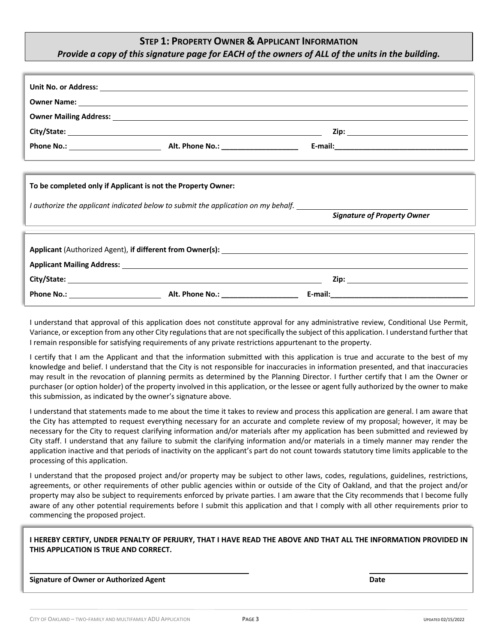# **STEP 1: PROPERTY OWNER & APPLICANT INFORMATION**

## *Provide a copy of this signature page for EACH of the owners of ALL of the units in the building.*

|                                                              |                                                                                   | the contract of the contract of the contract of the contract of the contract of the contract of the contract of |
|--------------------------------------------------------------|-----------------------------------------------------------------------------------|-----------------------------------------------------------------------------------------------------------------|
| To be completed only if Applicant is not the Property Owner: |                                                                                   |                                                                                                                 |
|                                                              | I authorize the applicant indicated below to submit the application on my behalf. |                                                                                                                 |
|                                                              |                                                                                   | <b>Signature of Property Owner</b>                                                                              |
|                                                              |                                                                                   |                                                                                                                 |
|                                                              |                                                                                   |                                                                                                                 |
|                                                              |                                                                                   |                                                                                                                 |
|                                                              |                                                                                   |                                                                                                                 |
|                                                              |                                                                                   |                                                                                                                 |
|                                                              |                                                                                   |                                                                                                                 |

I understand that approval of this application does not constitute approval for any administrative review, Conditional Use Permit, Variance, or exception from any other City regulations that are not specifically the subject of this application. I understand further that I remain responsible for satisfying requirements of any private restrictions appurtenant to the property.

I certify that I am the Applicant and that the information submitted with this application is true and accurate to the best of my knowledge and belief. I understand that the City is not responsible for inaccuracies in information presented, and that inaccuracies may result in the revocation of planning permits as determined by the Planning Director. I further certify that I am the Owner or purchaser (or option holder) of the property involved in this application, or the lessee or agent fully authorized by the owner to make this submission, as indicated by the owner's signature above.

I understand that statements made to me about the time it takes to review and process this application are general. I am aware that the City has attempted to request everything necessary for an accurate and complete review of my proposal; however, it may be necessary for the City to request clarifying information and/or materials after my application has been submitted and reviewed by City staff. I understand that any failure to submit the clarifying information and/or materials in a timely manner may render the application inactive and that periods of inactivity on the applicant's part do not count towards statutory time limits applicable to the processing of this application.

I understand that the proposed project and/or property may be subject to other laws, codes, regulations, guidelines, restrictions, agreements, or other requirements of other public agencies within or outside of the City of Oakland, and that the project and/or property may also be subject to requirements enforced by private parties. I am aware that the City recommends that I become fully aware of any other potential requirements before I submit this application and that I comply with all other requirements prior to commencing the proposed project.

**I HEREBY CERTIFY, UNDER PENALTY OF PERJURY, THAT I HAVE READ THE ABOVE AND THAT ALL THE INFORMATION PROVIDED IN THIS APPLICATION IS TRUE AND CORRECT.** 

**Signature of Owner or Authorized Agent Date**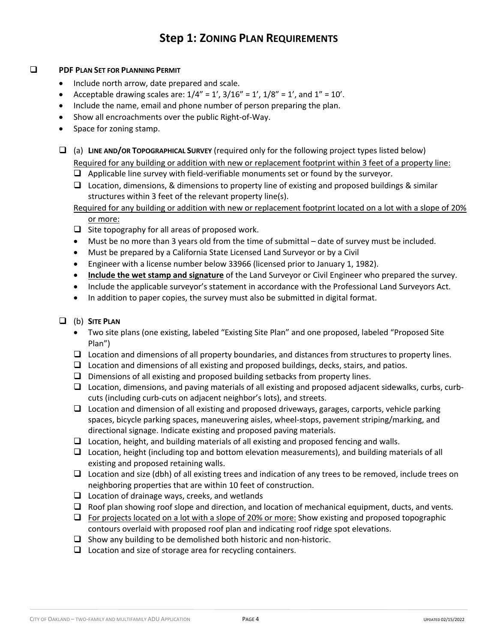# **Step 1: ZONING PLAN REQUIREMENTS**

### **Q PDF PLAN SET FOR PLANNING PERMIT**

- Include north arrow, date prepared and scale.
- Acceptable drawing scales are:  $1/4'' = 1'$ ,  $3/16'' = 1'$ ,  $1/8'' = 1'$ , and  $1'' = 10'$ .
- Include the name, email and phone number of person preparing the plan.
- Show all encroachments over the public Right-of-Way.
- Space for zoning stamp.

q (a) **LINE AND/OR TOPOGRAPHICAL SURVEY** (required only for the following project types listed below)

Required for any building or addition with new or replacement footprint within 3 feet of a property line:

- $\Box$  Applicable line survey with field-verifiable monuments set or found by the surveyor.
- $\Box$  Location, dimensions, & dimensions to property line of existing and proposed buildings & similar structures within 3 feet of the relevant property line(s).

Required for any building or addition with new or replacement footprint located on a lot with a slope of 20% or more:

- $\Box$  Site topography for all areas of proposed work.
- Must be no more than 3 years old from the time of submittal date of survey must be included.
- Must be prepared by a California State Licensed Land Surveyor or by a Civil
- Engineer with a license number below 33966 (licensed prior to January 1, 1982).
- **Include the wet stamp and signature** of the Land Surveyor or Civil Engineer who prepared the survey.
- Include the applicable surveyor's statement in accordance with the Professional Land Surveyors Act.
- In addition to paper copies, the survey must also be submitted in digital format.

### q (b) **SITE PLAN**

- Two site plans (one existing, labeled "Existing Site Plan" and one proposed, labeled "Proposed Site Plan")
- $\Box$  Location and dimensions of all property boundaries, and distances from structures to property lines.
- $\Box$  Location and dimensions of all existing and proposed buildings, decks, stairs, and patios.
- $\Box$  Dimensions of all existing and proposed building setbacks from property lines.
- $\Box$  Location, dimensions, and paving materials of all existing and proposed adjacent sidewalks, curbs, curbcuts (including curb-cuts on adjacent neighbor's lots), and streets.
- $\Box$  Location and dimension of all existing and proposed driveways, garages, carports, vehicle parking spaces, bicycle parking spaces, maneuvering aisles, wheel-stops, pavement striping/marking, and directional signage. Indicate existing and proposed paving materials.
- $\Box$  Location, height, and building materials of all existing and proposed fencing and walls.
- $\Box$  Location, height (including top and bottom elevation measurements), and building materials of all existing and proposed retaining walls.
- $\Box$  Location and size (dbh) of all existing trees and indication of any trees to be removed, include trees on neighboring properties that are within 10 feet of construction.
- $\Box$  Location of drainage ways, creeks, and wetlands
- $\Box$  Roof plan showing roof slope and direction, and location of mechanical equipment, ducts, and vents.
- $\Box$  For projects located on a lot with a slope of 20% or more: Show existing and proposed topographic contours overlaid with proposed roof plan and indicating roof ridge spot elevations.
- $\Box$  Show any building to be demolished both historic and non-historic.
- $\Box$  Location and size of storage area for recycling containers.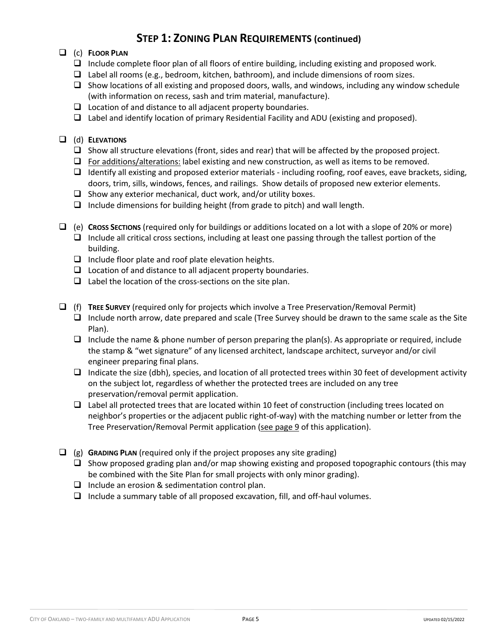# **STEP 1: ZONING PLAN REQUIREMENTS (continued)**

## q (c) **FLOOR PLAN**

- $\Box$  Include complete floor plan of all floors of entire building, including existing and proposed work.
- $\Box$  Label all rooms (e.g., bedroom, kitchen, bathroom), and include dimensions of room sizes.
- $\Box$  Show locations of all existing and proposed doors, walls, and windows, including any window schedule (with information on recess, sash and trim material, manufacture).
- $\Box$  Location of and distance to all adjacent property boundaries.
- $\Box$  Label and identify location of primary Residential Facility and ADU (existing and proposed).

### q (d) **ELEVATIONS**

- $\Box$  Show all structure elevations (front, sides and rear) that will be affected by the proposed project.
- $\Box$  For additions/alterations: label existing and new construction, as well as items to be removed.
- $\Box$  Identify all existing and proposed exterior materials including roofing, roof eaves, eave brackets, siding, doors, trim, sills, windows, fences, and railings. Show details of proposed new exterior elements.
- $\Box$  Show any exterior mechanical, duct work, and/or utility boxes.
- $\Box$  Include dimensions for building height (from grade to pitch) and wall length.
- q (e) **CROSS SECTIONS** (required only for buildings or additions located on a lot with a slope of 20% or more)  $\Box$  Include all critical cross sections, including at least one passing through the tallest portion of the building.
	- $\Box$  Include floor plate and roof plate elevation heights.
	- $\Box$  Location of and distance to all adjacent property boundaries.
	- $\Box$  Label the location of the cross-sections on the site plan.
- q (f) **TREE SURVEY** (required only for projects which involve a Tree Preservation/Removal Permit)  $\Box$  Include north arrow, date prepared and scale (Tree Survey should be drawn to the same scale as the Site Plan).
	- $\Box$  Include the name & phone number of person preparing the plan(s). As appropriate or required, include the stamp & "wet signature" of any licensed architect, landscape architect, surveyor and/or civil engineer preparing final plans.
	- $\Box$  Indicate the size (dbh), species, and location of all protected trees within 30 feet of development activity on the subject lot, regardless of whether the protected trees are included on any tree preservation/removal permit application.
	- $\Box$  Label all protected trees that are located within 10 feet of construction (including trees located on neighbor's properties or the adjacent public right-of-way) with the matching number or letter from the Tree Preservation/Removal Permit application (see page 9 of this application).
- $\Box$  (g) **GRADING PLAN** (required only if the project proposes any site grading)
	- $\Box$  Show proposed grading plan and/or map showing existing and proposed topographic contours (this may be combined with the Site Plan for small projects with only minor grading).
	- $\Box$  Include an erosion & sedimentation control plan.
	- $\Box$  Include a summary table of all proposed excavation, fill, and off-haul volumes.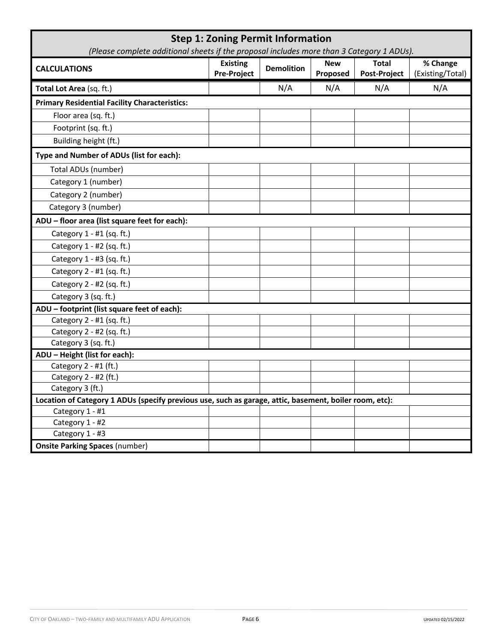| <b>Step 1: Zoning Permit Information</b><br>(Please complete additional sheets if the proposal includes more than 3 Category 1 ADUs). |                                       |                   |                        |                              |                              |
|---------------------------------------------------------------------------------------------------------------------------------------|---------------------------------------|-------------------|------------------------|------------------------------|------------------------------|
| <b>CALCULATIONS</b>                                                                                                                   | <b>Existing</b><br><b>Pre-Project</b> | <b>Demolition</b> | <b>New</b><br>Proposed | <b>Total</b><br>Post-Project | % Change<br>(Existing/Total) |
| Total Lot Area (sq. ft.)                                                                                                              |                                       | N/A               | N/A                    | N/A                          | N/A                          |
| <b>Primary Residential Facility Characteristics:</b>                                                                                  |                                       |                   |                        |                              |                              |
| Floor area (sq. ft.)                                                                                                                  |                                       |                   |                        |                              |                              |
| Footprint (sq. ft.)                                                                                                                   |                                       |                   |                        |                              |                              |
| Building height (ft.)                                                                                                                 |                                       |                   |                        |                              |                              |
| Type and Number of ADUs (list for each):                                                                                              |                                       |                   |                        |                              |                              |
| Total ADUs (number)                                                                                                                   |                                       |                   |                        |                              |                              |
| Category 1 (number)                                                                                                                   |                                       |                   |                        |                              |                              |
| Category 2 (number)                                                                                                                   |                                       |                   |                        |                              |                              |
| Category 3 (number)                                                                                                                   |                                       |                   |                        |                              |                              |
| ADU - floor area (list square feet for each):                                                                                         |                                       |                   |                        |                              |                              |
| Category 1 - #1 (sq. ft.)                                                                                                             |                                       |                   |                        |                              |                              |
| Category 1 - #2 (sq. ft.)                                                                                                             |                                       |                   |                        |                              |                              |
| Category 1 - #3 (sq. ft.)                                                                                                             |                                       |                   |                        |                              |                              |
| Category 2 - #1 (sq. ft.)                                                                                                             |                                       |                   |                        |                              |                              |
| Category 2 - #2 (sq. ft.)                                                                                                             |                                       |                   |                        |                              |                              |
| Category 3 (sq. ft.)                                                                                                                  |                                       |                   |                        |                              |                              |
| ADU - footprint (list square feet of each):                                                                                           |                                       |                   |                        |                              |                              |
| Category 2 - #1 (sq. ft.)                                                                                                             |                                       |                   |                        |                              |                              |
| Category 2 - #2 (sq. ft.)                                                                                                             |                                       |                   |                        |                              |                              |
| Category 3 (sq. ft.)                                                                                                                  |                                       |                   |                        |                              |                              |
| ADU - Height (list for each):                                                                                                         |                                       |                   |                        |                              |                              |
| Category 2 - #1 (ft.)                                                                                                                 |                                       |                   |                        |                              |                              |
| Category 2 - #2 (ft.)<br>Category 3 (ft.)                                                                                             |                                       |                   |                        |                              |                              |
| Location of Category 1 ADUs (specify previous use, such as garage, attic, basement, boiler room, etc):                                |                                       |                   |                        |                              |                              |
| Category 1 - #1                                                                                                                       |                                       |                   |                        |                              |                              |
| Category 1 - #2                                                                                                                       |                                       |                   |                        |                              |                              |
| Category 1 - #3                                                                                                                       |                                       |                   |                        |                              |                              |
| <b>Onsite Parking Spaces (number)</b>                                                                                                 |                                       |                   |                        |                              |                              |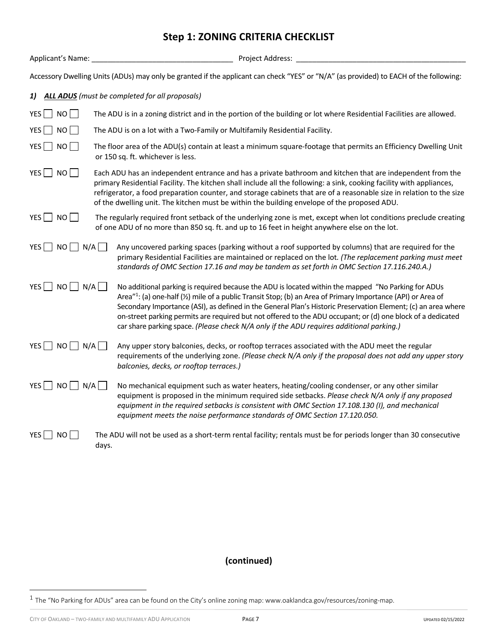# **Step 1: ZONING CRITERIA CHECKLIST**

| Applicant's Name:               | Project Address:                                                                                                                                                                                                                                                                                                                                                                                                                                                                                                                                |
|---------------------------------|-------------------------------------------------------------------------------------------------------------------------------------------------------------------------------------------------------------------------------------------------------------------------------------------------------------------------------------------------------------------------------------------------------------------------------------------------------------------------------------------------------------------------------------------------|
|                                 | Accessory Dwelling Units (ADUs) may only be granted if the applicant can check "YES" or "N/A" (as provided) to EACH of the following:                                                                                                                                                                                                                                                                                                                                                                                                           |
| 1)                              | <b>ALL ADUS</b> (must be completed for all proposals)                                                                                                                                                                                                                                                                                                                                                                                                                                                                                           |
| YES<br>NO                       | The ADU is in a zoning district and in the portion of the building or lot where Residential Facilities are allowed.                                                                                                                                                                                                                                                                                                                                                                                                                             |
| YES<br>NO                       | The ADU is on a lot with a Two-Family or Multifamily Residential Facility.                                                                                                                                                                                                                                                                                                                                                                                                                                                                      |
| YES<br>NO                       | The floor area of the ADU(s) contain at least a minimum square-footage that permits an Efficiency Dwelling Unit<br>or 150 sq. ft. whichever is less.                                                                                                                                                                                                                                                                                                                                                                                            |
| YES<br>NO                       | Each ADU has an independent entrance and has a private bathroom and kitchen that are independent from the<br>primary Residential Facility. The kitchen shall include all the following: a sink, cooking facility with appliances,<br>refrigerator, a food preparation counter, and storage cabinets that are of a reasonable size in relation to the size<br>of the dwelling unit. The kitchen must be within the building envelope of the proposed ADU.                                                                                        |
| $YES$ NO                        | The regularly required front setback of the underlying zone is met, except when lot conditions preclude creating<br>of one ADU of no more than 850 sq. ft. and up to 16 feet in height anywhere else on the lot.                                                                                                                                                                                                                                                                                                                                |
| YES<br>NO<br>N/A                | Any uncovered parking spaces (parking without a roof supported by columns) that are required for the<br>primary Residential Facilities are maintained or replaced on the lot. (The replacement parking must meet<br>standards of OMC Section 17.16 and may be tandem as set forth in OMC Section 17.116.240.A.)                                                                                                                                                                                                                                 |
| YES<br>NO<br>N/A                | No additional parking is required because the ADU is located within the mapped "No Parking for ADUs<br>Area"1: (a) one-half (1/2) mile of a public Transit Stop; (b) an Area of Primary Importance (API) or Area of<br>Secondary Importance (ASI), as defined in the General Plan's Historic Preservation Element; (c) an area where<br>on-street parking permits are required but not offered to the ADU occupant; or (d) one block of a dedicated<br>car share parking space. (Please check N/A only if the ADU requires additional parking.) |
| YES $\Box$ NO $\Box$ N/A $\Box$ | Any upper story balconies, decks, or rooftop terraces associated with the ADU meet the regular<br>requirements of the underlying zone. (Please check N/A only if the proposal does not add any upper story<br>balconies, decks, or rooftop terraces.)                                                                                                                                                                                                                                                                                           |
| $NO$ $N/A$ $\Box$<br>YES        | No mechanical equipment such as water heaters, heating/cooling condenser, or any other similar<br>equipment is proposed in the minimum required side setbacks. Please check N/A only if any proposed<br>equipment in the required setbacks is consistent with OMC Section 17.108.130 (I), and mechanical<br>equipment meets the noise performance standards of OMC Section 17.120.050.                                                                                                                                                          |
| YES<br>NO                       | The ADU will not be used as a short-term rental facility; rentals must be for periods longer than 30 consecutive<br>days.                                                                                                                                                                                                                                                                                                                                                                                                                       |

 $1$  The "No Parking for ADUs" area can be found on the City's online zoning map: www.oaklandca.gov/resources/zoning-map.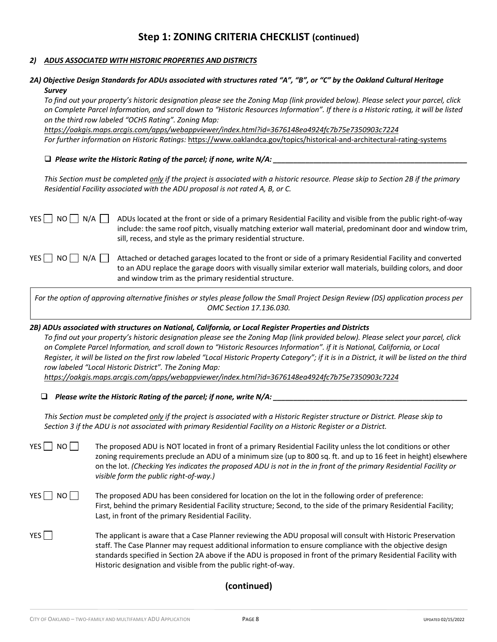#### *2) ADUS ASSOCIATED WITH HISTORIC PROPERTIES AND DISTRICTS*

#### *2A) Objective Design Standards for ADUs associated with structures rated "A", "B", or "C" by the Oakland Cultural Heritage Survey*

*To find out your property's historic designation please see the Zoning Map (link provided below). Please select your parcel, click on Complete Parcel Information, and scroll down to "Historic Resources Information". If there is a Historic rating, it will be listed on the third row labeled "OCHS Rating". Zoning Map:* 

*https://oakgis.maps.arcgis.com/apps/webappviewer/index.html?id=3676148ea4924fc7b75e7350903c7224 For further information on Historic Ratings:* https://www.oaklandca.gov/topics/historical-and-architectural-rating-systems

 $\Box$  Please write the Historic Rating of the parcel; if none, write N/A:  $\_$ 

*This Section must be completed only if the project is associated with a historic resource. Please skip to Section 2B if the primary Residential Facility associated with the ADU proposal is not rated A, B, or C.*

YES  $\Box$  NO  $\Box$  N/A  $\Box$  ADUs located at the front or side of a primary Residential Facility and visible from the public right-of-way include: the same roof pitch, visually matching exterior wall material, predominant door and window trim, sill, recess, and style as the primary residential structure.

YES  $\Box$  NO  $\Box$  N/A  $\Box$  Attached or detached garages located to the front or side of a primary Residential Facility and converted to an ADU replace the garage doors with visually similar exterior wall materials, building colors, and door and window trim as the primary residential structure.

*For the option of approving alternative finishes or styles please follow the Small Project Design Review (DS) application process per OMC Section 17.136.030.*

*2B) ADUs associated with structures on National, California, or Local Register Properties and Districts*

*To find out your property's historic designation please see the Zoning Map (link provided below). Please select your parcel, click on Complete Parcel Information, and scroll down to "Historic Resources Information". if it is National, California, or Local Register, it will be listed on the first row labeled "Local Historic Property Category"; if it is in a District, it will be listed on the third row labeled "Local Historic District". The Zoning Map:*

*https://oakgis.maps.arcgis.com/apps/webappviewer/index.html?id=3676148ea4924fc7b75e7350903c7224* 

 $\Box$  Please write the Historic Rating of the parcel; if none, write N/A: \_\_\_\_\_\_\_\_

*This Section must be completed only if the project is associated with a Historic Register structure or District. Please skip to Section 3 if the ADU is not associated with primary Residential Facility on a Historic Register or a District.*

YES  $\Box$  NO  $\Box$  The proposed ADU is NOT located in front of a primary Residential Facility unless the lot conditions or other zoning requirements preclude an ADU of a minimum size (up to 800 sq. ft. and up to 16 feet in height) elsewhere on the lot. *(Checking Yes indicates the proposed ADU is not in the in front of the primary Residential Facility or visible form the public right-of-way.)*

- $YES \cap NO \cap$  The proposed ADU has been considered for location on the lot in the following order of preference: First, behind the primary Residential Facility structure; Second, to the side of the primary Residential Facility; Last, in front of the primary Residential Facility.
- YES The applicant is aware that a Case Planner reviewing the ADU proposal will consult with Historic Preservation staff. The Case Planner may request additional information to ensure compliance with the objective design standards specified in Section 2A above if the ADU is proposed in front of the primary Residential Facility with Historic designation and visible from the public right-of-way.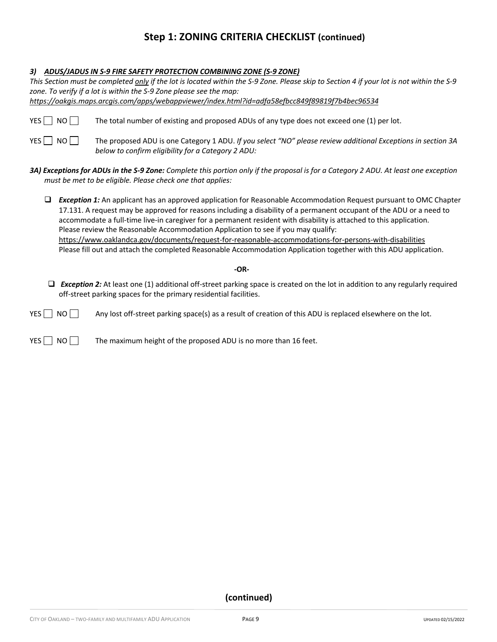### *3) ADUS/JADUS IN S-9 FIRE SAFETY PROTECTION COMBINING ZONE (S-9 ZONE)*

|                    | This Section must be completed only if the lot is located within the S-9 Zone. Please skip to Section 4 if your lot is not within the S-9                                                                                                                                                                                                                                                                                                                                                                                                                                                                                                                                                     |
|--------------------|-----------------------------------------------------------------------------------------------------------------------------------------------------------------------------------------------------------------------------------------------------------------------------------------------------------------------------------------------------------------------------------------------------------------------------------------------------------------------------------------------------------------------------------------------------------------------------------------------------------------------------------------------------------------------------------------------|
|                    | zone. To verify if a lot is within the S-9 Zone please see the map:                                                                                                                                                                                                                                                                                                                                                                                                                                                                                                                                                                                                                           |
|                    | https://oakgis.maps.arcgis.com/apps/webappviewer/index.html?id=adfa58efbcc849f89819f7b4bec96534                                                                                                                                                                                                                                                                                                                                                                                                                                                                                                                                                                                               |
| YES $\Box$<br>NO   | The total number of existing and proposed ADUs of any type does not exceed one (1) per lot.                                                                                                                                                                                                                                                                                                                                                                                                                                                                                                                                                                                                   |
| YES $\Box$<br>NO I | The proposed ADU is one Category 1 ADU. If you select "NO" please review additional Exceptions in section 3A<br>below to confirm eligibility for a Category 2 ADU:                                                                                                                                                                                                                                                                                                                                                                                                                                                                                                                            |
|                    | 3A) Exceptions for ADUs in the S-9 Zone: Complete this portion only if the proposal is for a Category 2 ADU. At least one exception<br>must be met to be eligible. Please check one that applies:                                                                                                                                                                                                                                                                                                                                                                                                                                                                                             |
| □                  | <b>Exception 1:</b> An applicant has an approved application for Reasonable Accommodation Request pursuant to OMC Chapter<br>17.131. A request may be approved for reasons including a disability of a permanent occupant of the ADU or a need to<br>accommodate a full-time live-in caregiver for a permanent resident with disability is attached to this application.<br>Please review the Reasonable Accommodation Application to see if you may qualify:<br>https://www.oaklandca.gov/documents/request-for-reasonable-accommodations-for-persons-with-disabilities<br>Please fill out and attach the completed Reasonable Accommodation Application together with this ADU application. |
|                    | $-OR-$                                                                                                                                                                                                                                                                                                                                                                                                                                                                                                                                                                                                                                                                                        |
| ❏                  | <b>Exception 2:</b> At least one (1) additional off-street parking space is created on the lot in addition to any regularly required<br>off-street parking spaces for the primary residential facilities.                                                                                                                                                                                                                                                                                                                                                                                                                                                                                     |
| YES  <br>NO I      | Any lost off-street parking space(s) as a result of creation of this ADU is replaced elsewhere on the lot.                                                                                                                                                                                                                                                                                                                                                                                                                                                                                                                                                                                    |

YES  $\Box$  NO  $\Box$  The maximum height of the proposed ADU is no more than 16 feet.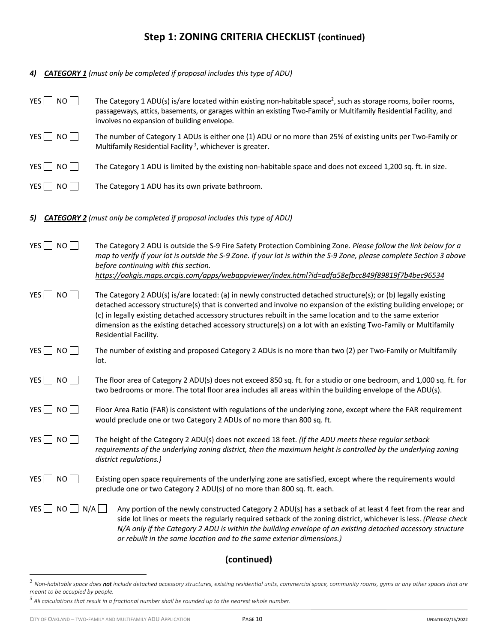| 4)                                 | <b>CATEGORY 1</b> (must only be completed if proposal includes this type of ADU)                                                                                                                                                                                                                                                                                                                                                                                                           |
|------------------------------------|--------------------------------------------------------------------------------------------------------------------------------------------------------------------------------------------------------------------------------------------------------------------------------------------------------------------------------------------------------------------------------------------------------------------------------------------------------------------------------------------|
| YES $\Box$ NO $\Box$               | The Category 1 ADU(s) is/are located within existing non-habitable space <sup>2</sup> , such as storage rooms, boiler rooms,<br>passageways, attics, basements, or garages within an existing Two-Family or Multifamily Residential Facility, and<br>involves no expansion of building envelope.                                                                                                                                                                                           |
| $YES$ NO                           | The number of Category 1 ADUs is either one (1) ADU or no more than 25% of existing units per Two-Family or<br>Multifamily Residential Facility <sup>3</sup> , whichever is greater.                                                                                                                                                                                                                                                                                                       |
| YES $\Box$ NO $\Box$               | The Category 1 ADU is limited by the existing non-habitable space and does not exceed 1,200 sq. ft. in size.                                                                                                                                                                                                                                                                                                                                                                               |
| YES $\Box$ NO $\Box$               | The Category 1 ADU has its own private bathroom.                                                                                                                                                                                                                                                                                                                                                                                                                                           |
| 5)                                 | <b>CATEGORY 2</b> (must only be completed if proposal includes this type of ADU)                                                                                                                                                                                                                                                                                                                                                                                                           |
| $YES$ NO                           | The Category 2 ADU is outside the S-9 Fire Safety Protection Combining Zone. Please follow the link below for a<br>map to verify if your lot is outside the S-9 Zone. If your lot is within the S-9 Zone, please complete Section 3 above<br>before continuing with this section.<br>https://oakgis.maps.arcgis.com/apps/webappviewer/index.html?id=adfa58efbcc849f89819f7b4bec96534                                                                                                       |
| YES <sub>N</sub> NO <sub>N</sub>   | The Category 2 ADU(s) is/are located: (a) in newly constructed detached structure(s); or (b) legally existing<br>detached accessory structure(s) that is converted and involve no expansion of the existing building envelope; or<br>(c) in legally existing detached accessory structures rebuilt in the same location and to the same exterior<br>dimension as the existing detached accessory structure(s) on a lot with an existing Two-Family or Multifamily<br>Residential Facility. |
| $YES$ NO                           | The number of existing and proposed Category 2 ADUs is no more than two (2) per Two-Family or Multifamily<br>lot.                                                                                                                                                                                                                                                                                                                                                                          |
| $YES$ NO                           | The floor area of Category 2 ADU(s) does not exceed 850 sq. ft. for a studio or one bedroom, and 1,000 sq. ft. for<br>two bedrooms or more. The total floor area includes all areas within the building envelope of the ADU(s).                                                                                                                                                                                                                                                            |
| YES<br>NO <sub>1</sub>             | Floor Area Ratio (FAR) is consistent with regulations of the underlying zone, except where the FAR requirement<br>would preclude one or two Category 2 ADUs of no more than 800 sq. ft.                                                                                                                                                                                                                                                                                                    |
| NO  <br>$YES$ $\Box$               | The height of the Category 2 ADU(s) does not exceed 18 feet. (If the ADU meets these regular setback<br>requirements of the underlying zoning district, then the maximum height is controlled by the underlying zoning<br>district regulations.)                                                                                                                                                                                                                                           |
| $YES$ $\Box$<br>NO                 | Existing open space requirements of the underlying zone are satisfied, except where the requirements would<br>preclude one or two Category 2 ADU(s) of no more than 800 sq. ft. each.                                                                                                                                                                                                                                                                                                      |
| $YES$ $\Box$<br>$NO \cup N/A \cup$ | Any portion of the newly constructed Category 2 ADU(s) has a setback of at least 4 feet from the rear and<br>side lot lines or meets the regularly required setback of the zoning district, whichever is less. (Please check<br>N/A only if the Category 2 ADU is within the building envelope of an existing detached accessory structure<br>or rebuilt in the same location and to the same exterior dimensions.)                                                                        |

<sup>2</sup> *Non-habitable space does not include detached accessory structures, existing residential units, commercial space, community rooms, gyms or any other spaces that are meant to be occupied by people.*

*<sup>3</sup> All calculations that result in a fractional number shall be rounded up to the nearest whole number.*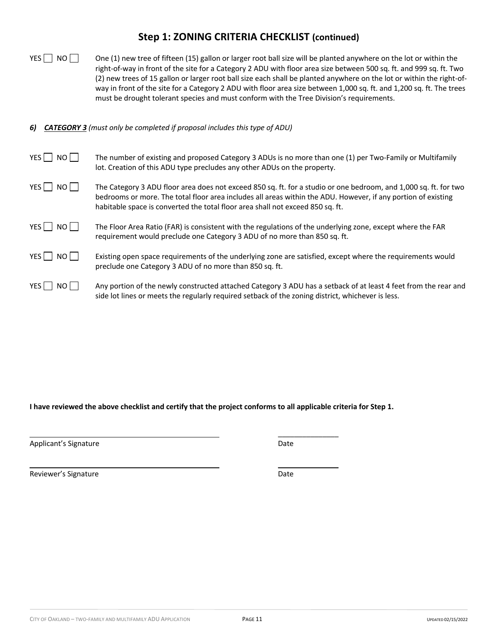| YES $\Box$ No $\Box$ | One (1) new tree of fifteen (15) gallon or larger root ball size will be planted anywhere on the lot or within the    |
|----------------------|-----------------------------------------------------------------------------------------------------------------------|
|                      | right-of-way in front of the site for a Category 2 ADU with floor area size between 500 sq. ft. and 999 sq. ft. Two   |
|                      | (2) new trees of 15 gallon or larger root ball size each shall be planted anywhere on the lot or within the right-of- |
|                      | way in front of the site for a Category 2 ADU with floor area size between 1,000 sq. ft. and 1,200 sq. ft. The trees  |
|                      | must be drought tolerant species and must conform with the Tree Division's requirements.                              |

*6) CATEGORY 3 (must only be completed if proposal includes this type of ADU)*

| YES    <br>NO II | The number of existing and proposed Category 3 ADUs is no more than one (1) per Two-Family or Multifamily<br>lot. Creation of this ADU type precludes any other ADUs on the property.                                                                                                                               |
|------------------|---------------------------------------------------------------------------------------------------------------------------------------------------------------------------------------------------------------------------------------------------------------------------------------------------------------------|
| YES    <br>NO II | The Category 3 ADU floor area does not exceed 850 sq. ft. for a studio or one bedroom, and 1,000 sq. ft. for two<br>bedrooms or more. The total floor area includes all areas within the ADU. However, if any portion of existing<br>habitable space is converted the total floor area shall not exceed 850 sq. ft. |
| YES NO           | The Floor Area Ratio (FAR) is consistent with the regulations of the underlying zone, except where the FAR<br>requirement would preclude one Category 3 ADU of no more than 850 sq. ft.                                                                                                                             |
| YES NO           | Existing open space requirements of the underlying zone are satisfied, except where the requirements would<br>preclude one Category 3 ADU of no more than 850 sq. ft.                                                                                                                                               |
| YES    <br>NO II | Any portion of the newly constructed attached Category 3 ADU has a setback of at least 4 feet from the rear and<br>side lot lines or meets the regularly required setback of the zoning district, whichever is less.                                                                                                |

**I have reviewed the above checklist and certify that the project conforms to all applicable criteria for Step 1.** 

Applicant's Signature **Date** Date of Applicant's Signature and Date Date

 $\mathcal{L}$  , we can also the set of  $\mathcal{L}$ 

 $\frac{1}{2}$ 

Reviewer's Signature **Date** Date **Date**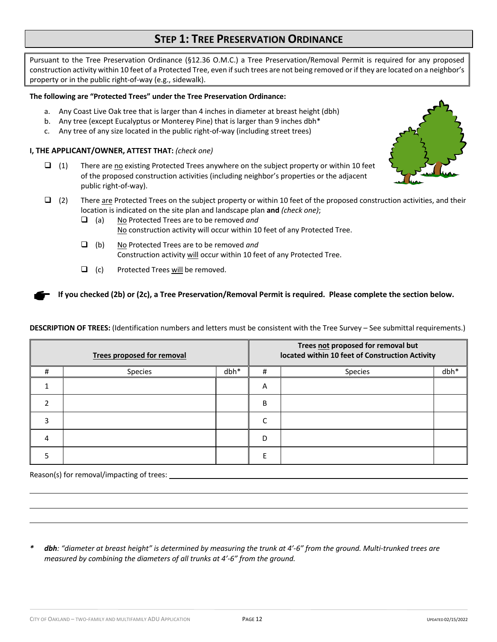# **STEP 1: TREE PRESERVATION ORDINANCE**

Pursuant to the Tree Preservation Ordinance (§12.36 O.M.C.) a Tree Preservation/Removal Permit is required for any proposed construction activity within 10 feet of a Protected Tree, even if such trees are not being removed or if they are located on a neighbor's property or in the public right-of-way (e.g., sidewalk).

#### **The following are "Protected Trees" under the Tree Preservation Ordinance:**

- a. Any Coast Live Oak tree that is larger than 4 inches in diameter at breast height (dbh)
- b. Any tree (except Eucalyptus or Monterey Pine) that is larger than 9 inches dbh\*
- c. Any tree of any size located in the public right-of-way (including street trees)

#### **I, THE APPLICANT/OWNER, ATTEST THAT:** *(check one)*

- $\Box$  (1) There are no existing Protected Trees anywhere on the subject property or within 10 feet of the proposed construction activities (including neighbor's properties or the adjacent public right-of-way).
- $\Box$  (2) There are Protected Trees on the subject property or within 10 feet of the proposed construction activities, and their location is indicated on the site plan and landscape plan **and** *(check one)*;
	- q (a) No Protected Trees are to be removed *and* No construction activity will occur within 10 feet of any Protected Tree.
	- q (b) No Protected Trees are to be removed *and* Construction activity will occur within 10 feet of any Protected Tree.
	- $\Box$  (c) Protected Trees will be removed.

**If you checked (2b) or (2c), a Tree Preservation/Removal Permit is required. Please complete the section below.**

**DESCRIPTION OF TREES:** (Identification numbers and letters must be consistent with the Tree Survey – See submittal requirements.)

| Trees proposed for removal |         |        | Trees not proposed for removal but<br>located within 10 feet of Construction Activity |                |      |
|----------------------------|---------|--------|---------------------------------------------------------------------------------------|----------------|------|
| #                          | Species | $dbh*$ | #                                                                                     | <b>Species</b> | dbh* |
|                            |         |        | Α                                                                                     |                |      |
|                            |         |        | B                                                                                     |                |      |
| ς                          |         |        | ◠                                                                                     |                |      |
| 4                          |         |        | D                                                                                     |                |      |
|                            |         |        |                                                                                       |                |      |

Reason(s) for removal/impacting of trees:

*\* dbh: "diameter at breast height" is determined by measuring the trunk at 4'-6" from the ground. Multi-trunked trees are measured by combining the diameters of all trunks at 4'-6" from the ground.* 

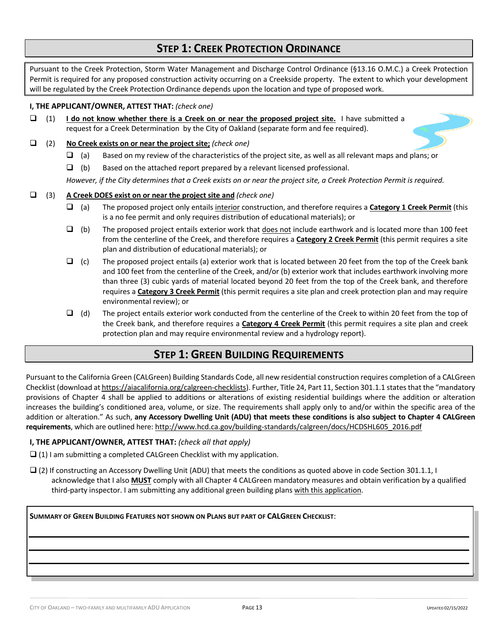# **STEP 1: CREEK PROTECTION ORDINANCE**

Pursuant to the Creek Protection, Storm Water Management and Discharge Control Ordinance (§13.16 O.M.C.) a Creek Protection Permit is required for any proposed construction activity occurring on a Creekside property. The extent to which your development will be regulated by the Creek Protection Ordinance depends upon the location and type of proposed work.

### **I, THE APPLICANT/OWNER, ATTEST THAT:** *(check one)*

 $\Box$  (1) **I do not know whether there is a Creek on or near the proposed project site.** I have submitted a request for a Creek Determination by the City of Oakland (separate form and fee required).

### q (2) **No Creek exists on or near the project site;** *(check one)*

- $\Box$  (a) Based on my review of the characteristics of the project site, as well as all relevant maps and plans; or
- $\Box$  (b) Based on the attached report prepared by a relevant licensed professional.

*However, if the City determines that a Creek exists on or near the project site, a Creek Protection Permit is required.*

#### q (3) **A Creek DOES exist on or near the project site and** *(check one)*

- q (a) The proposed project only entails interior construction, and therefore requires a **Category 1 Creek Permit** (this is a no fee permit and only requires distribution of educational materials); or
- $\Box$  (b) The proposed project entails exterior work that does not include earthwork and is located more than 100 feet from the centerline of the Creek, and therefore requires a **Category 2 Creek Permit** (this permit requires a site plan and distribution of educational materials); or
- $\Box$  (c) The proposed project entails (a) exterior work that is located between 20 feet from the top of the Creek bank and 100 feet from the centerline of the Creek, and/or (b) exterior work that includes earthwork involving more than three (3) cubic yards of material located beyond 20 feet from the top of the Creek bank, and therefore requires a **Category 3 Creek Permit** (this permit requires a site plan and creek protection plan and may require environmental review); or
- $\Box$  (d) The project entails exterior work conducted from the centerline of the Creek to within 20 feet from the top of the Creek bank, and therefore requires a **Category 4 Creek Permit** (this permit requires a site plan and creek protection plan and may require environmental review and a hydrology report).

# **STEP 1: GREEN BUILDING REQUIREMENTS**

Pursuant to the California Green (CALGreen) Building Standards Code, all new residential construction requires completion of a CALGreen Checklist (download at https://aiacalifornia.org/calgreen-checklists). Further, Title 24, Part 11, Section 301.1.1 states that the "mandatory provisions of Chapter 4 shall be applied to additions or alterations of existing residential buildings where the addition or alteration increases the building's conditioned area, volume, or size. The requirements shall apply only to and/or within the specific area of the addition or alteration." As such, **any Accessory Dwelling Unit (ADU) that meets these conditions is also subject to Chapter 4 CALGreen requirements**, which are outlined here: http://www.hcd.ca.gov/building-standards/calgreen/docs/HCDSHL605\_2016.pdf

#### **I, THE APPLICANT/OWNER, ATTEST THAT:** *(check all that apply)*

- $\Box$  (1) I am submitting a completed CALGreen Checklist with my application.
- $\Box$  (2) If constructing an Accessory Dwelling Unit (ADU) that meets the conditions as quoted above in code Section 301.1.1, I acknowledge that I also **MUST** comply with all Chapter 4 CALGreen mandatory measures and obtain verification by a qualified third-party inspector. I am submitting any additional green building plans with this application.

**SUMMARY OF GREEN BUILDING FEATURES NOT SHOWN ON PLANS BUT PART OF CALGREEN CHECKLIST**: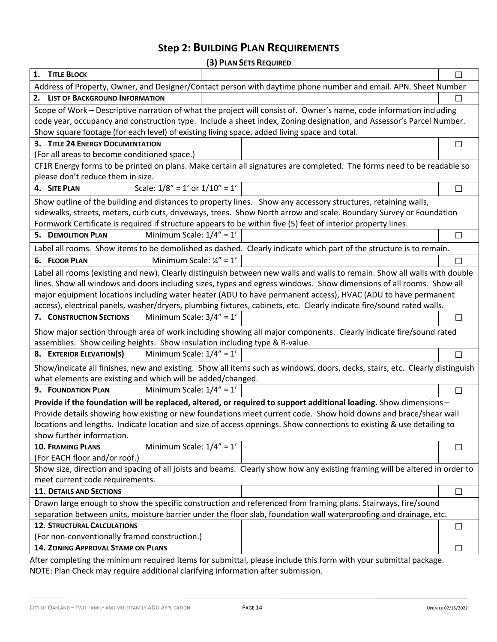# **Step 2: BUILDING PLAN REQUIREMENTS**

**(3) PLAN SETS REQUIRED**

|                                                                                                                              | (J) LEWIN JETJ INEQUINED |                |
|------------------------------------------------------------------------------------------------------------------------------|--------------------------|----------------|
| 1. TITLE BLOCK                                                                                                               |                          | П              |
| Address of Property, Owner, and Designer/Contact person with daytime phone number and email. APN. Sheet Number               |                          |                |
| 2. LIST OF BACKGROUND INFORMATION                                                                                            |                          | $\blacksquare$ |
| Scope of Work - Descriptive narration of what the project will consist of. Owner's name, code information including          |                          |                |
| code year, occupancy and construction type. Include a sheet index, Zoning designation, and Assessor's Parcel Number.         |                          |                |
| Show square footage (for each level) of existing living space, added living space and total.                                 |                          |                |
| 3. TITLE 24 ENERGY DOCUMENTATION                                                                                             |                          | $\Box$         |
| (For all areas to become conditioned space.)                                                                                 |                          |                |
| CF1R Energy forms to be printed on plans. Make certain all signatures are completed. The forms need to be readable so        |                          |                |
| please don't reduce them in size.                                                                                            |                          |                |
| Scale: $1/8'' = 1'$ or $1/10'' = 1'$<br>4. SITE PLAN                                                                         |                          | $\Box$         |
| Show outline of the building and distances to property lines. Show any accessory structures, retaining walls,                |                          |                |
| sidewalks, streets, meters, curb cuts, driveways, trees. Show North arrow and scale. Boundary Survey or Foundation           |                          |                |
| Formwork Certificate is required if structure appears to be within five (5) feet of interior property lines.                 |                          |                |
| Minimum Scale: $1/4" = 1'$<br><b>5. DEMOLITION PLAN</b>                                                                      |                          | $\Box$         |
| Label all rooms. Show items to be demolished as dashed. Clearly indicate which part of the structure is to remain.           |                          |                |
| Minimum Scale: $\frac{1}{4}$ " = 1'<br>6. FLOOR PLAN                                                                         |                          | $\Box$         |
| Label all rooms (existing and new). Clearly distinguish between new walls and walls to remain. Show all walls with double    |                          |                |
| lines. Show all windows and doors including sizes, types and egress windows. Show dimensions of all rooms. Show all          |                          |                |
| major equipment locations including water heater (ADU to have permanent access), HVAC (ADU to have permanent                 |                          |                |
| access), electrical panels, washer/dryers, plumbing fixtures, cabinets, etc. Clearly indicate fire/sound rated walls.        |                          |                |
| Minimum Scale: $3/4" = 1'$<br>7. CONSTRUCTION SECTIONS                                                                       |                          | $\Box$         |
| Show major section through area of work including showing all major components. Clearly indicate fire/sound rated            |                          |                |
| assemblies. Show ceiling heights. Show insulation including type & R-value.                                                  |                          |                |
| Minimum Scale: $1/4" = 1'$<br>8. EXTERIOR ELEVATION(S)                                                                       |                          | $\Box$         |
| Show/indicate all finishes, new and existing. Show all items such as windows, doors, decks, stairs, etc. Clearly distinguish |                          |                |
| what elements are existing and which will be added/changed.                                                                  |                          |                |
| Minimum Scale: $1/4" = 1'$<br>9. FOUNDATION PLAN                                                                             |                          | $\Box$         |
| Provide if the foundation will be replaced, altered, or required to support additional loading. Show dimensions -            |                          |                |
| Provide details showing how existing or new foundations meet current code. Show hold downs and brace/shear wall              |                          |                |
| locations and lengths. Indicate location and size of access openings. Show connections to existing & use detailing to        |                          |                |
| show further information.                                                                                                    |                          |                |
| Minimum Scale: $1/4" = 1'$<br><b>10. FRAMING PLANS</b>                                                                       |                          | $\Box$         |
| (For EACH floor and/or roof.)                                                                                                |                          |                |
| Show size, direction and spacing of all joists and beams. Clearly show how any existing framing will be altered in order to  |                          |                |
| meet current code requirements.                                                                                              |                          |                |
| <b>11. DETAILS AND SECTIONS</b>                                                                                              |                          | $\Box$         |
| Drawn large enough to show the specific construction and referenced from framing plans. Stairways, fire/sound                |                          |                |
| separation between units, moisture barrier under the floor slab, foundation wall waterproofing and drainage, etc.            |                          |                |
| <b>12. STRUCTURAL CALCULATIONS</b>                                                                                           |                          | $\Box$         |
| (For non-conventionally framed construction.)                                                                                |                          |                |
| <b>14. ZONING APPROVAL STAMP ON PLANS</b>                                                                                    |                          | $\Box$         |
| After completing the minimum required items for submittal please include this form with your submittal package               |                          |                |

After completing the minimum required items for submittal, please include this form with your submittal package. NOTE: Plan Check may require additional clarifying information after submission.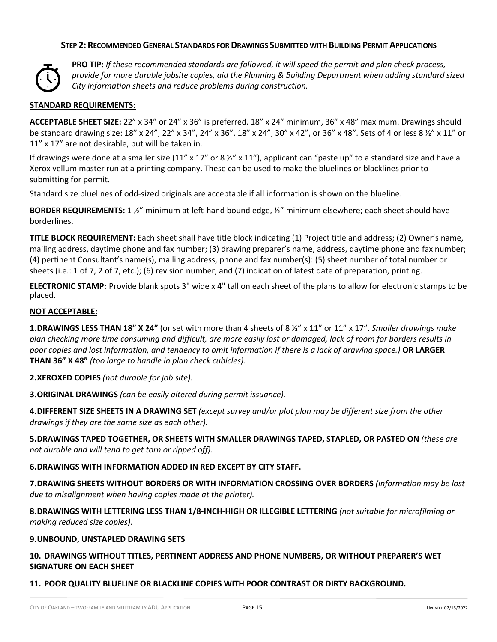### **STEP 2: RECOMMENDED GENERAL STANDARDS FOR DRAWINGS SUBMITTED WITH BUILDING PERMIT APPLICATIONS**



**PRO TIP:** *If these recommended standards are followed, it will speed the permit and plan check process, provide for more durable jobsite copies, aid the Planning & Building Department when adding standard sized City information sheets and reduce problems during construction.*

### **STANDARD REQUIREMENTS:**

**ACCEPTABLE SHEET SIZE:** 22" x 34" or 24" x 36" is preferred. 18" x 24" minimum, 36" x 48" maximum. Drawings should be standard drawing size: 18" x 24", 22" x 34", 24" x 36", 18" x 24", 30" x 42", or 36" x 48". Sets of 4 or less 8 ½" x 11" or 11" x 17" are not desirable, but will be taken in.

If drawings were done at a smaller size  $(11'' \times 17''$  or 8  $\frac{1}{2}$  x 11"), applicant can "paste up" to a standard size and have a Xerox vellum master run at a printing company. These can be used to make the bluelines or blacklines prior to submitting for permit.

Standard size bluelines of odd-sized originals are acceptable if all information is shown on the blueline.

**BORDER REQUIREMENTS:** 1 ½" minimum at left-hand bound edge, ½" minimum elsewhere; each sheet should have borderlines.

**TITLE BLOCK REQUIREMENT:** Each sheet shall have title block indicating (1) Project title and address; (2) Owner's name, mailing address, daytime phone and fax number; (3) drawing preparer's name, address, daytime phone and fax number; (4) pertinent Consultant's name(s), mailing address, phone and fax number(s): (5) sheet number of total number or sheets (i.e.: 1 of 7, 2 of 7, etc.); (6) revision number, and (7) indication of latest date of preparation, printing.

**ELECTRONIC STAMP:** Provide blank spots 3" wide x 4" tall on each sheet of the plans to allow for electronic stamps to be placed.

### **NOT ACCEPTABLE:**

**1.DRAWINGS LESS THAN 18" X 24"** (or set with more than 4 sheets of 8 ½" x 11" or 11" x 17". *Smaller drawings make plan checking more time consuming and difficult, are more easily lost or damaged, lack of room for borders results in poor copies and lost information, and tendency to omit information if there is a lack of drawing space.)* **OR LARGER THAN 36" X 48"** *(too large to handle in plan check cubicles).* 

**2.XEROXED COPIES** *(not durable for job site).*

**3.ORIGINAL DRAWINGS** *(can be easily altered during permit issuance).*

**4.DIFFERENT SIZE SHEETS IN A DRAWING SET** *(except survey and/or plot plan may be different size from the other drawings if they are the same size as each other).*

**5.DRAWINGS TAPED TOGETHER, OR SHEETS WITH SMALLER DRAWINGS TAPED, STAPLED, OR PASTED ON** *(these are not durable and will tend to get torn or ripped off).*

### **6.DRAWINGS WITH INFORMATION ADDED IN RED EXCEPT BY CITY STAFF.**

**7.DRAWING SHEETS WITHOUT BORDERS OR WITH INFORMATION CROSSING OVER BORDERS** *(information may be lost due to misalignment when having copies made at the printer).*

**8.DRAWINGS WITH LETTERING LESS THAN 1/8-INCH-HIGH OR ILLEGIBLE LETTERING** *(not suitable for microfilming or making reduced size copies).*

#### **9.UNBOUND, UNSTAPLED DRAWING SETS**

### **10. DRAWINGS WITHOUT TITLES, PERTINENT ADDRESS AND PHONE NUMBERS, OR WITHOUT PREPARER'S WET SIGNATURE ON EACH SHEET**

### **11. POOR QUALITY BLUELINE OR BLACKLINE COPIES WITH POOR CONTRAST OR DIRTY BACKGROUND.**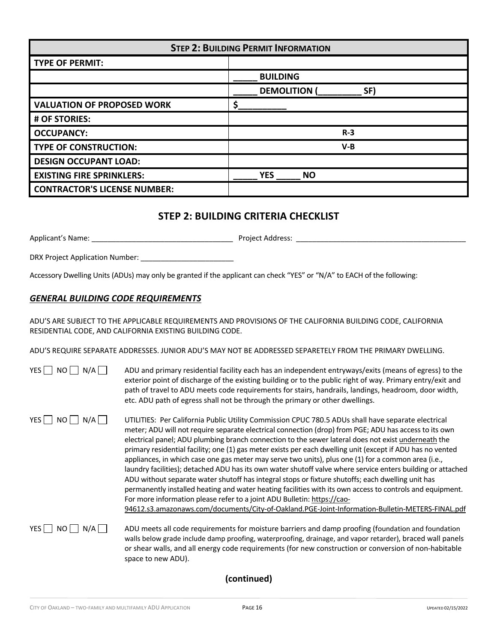| <b>STEP 2: BUILDING PERMIT INFORMATION</b> |                          |  |
|--------------------------------------------|--------------------------|--|
| <b>TYPE OF PERMIT:</b>                     |                          |  |
|                                            | <b>BUILDING</b>          |  |
|                                            | <b>DEMOLITION</b><br>SF) |  |
| <b>VALUATION OF PROPOSED WORK</b>          |                          |  |
| # OF STORIES:                              |                          |  |
| <b>OCCUPANCY:</b>                          | $R-3$                    |  |
| <b>TYPE OF CONSTRUCTION:</b>               | $V-B$                    |  |
| <b>DESIGN OCCUPANT LOAD:</b>               |                          |  |
| <b>EXISTING FIRE SPRINKLERS:</b>           | <b>YES</b><br><b>NO</b>  |  |
| <b>CONTRACTOR'S LICENSE NUMBER:</b>        |                          |  |

# **STEP 2: BUILDING CRITERIA CHECKLIST**

Applicant's Name: \_\_\_\_\_\_\_\_\_\_\_\_\_\_\_\_\_\_\_\_\_\_\_\_\_\_\_\_\_\_\_\_\_\_\_ Project Address: \_\_\_\_\_\_\_\_\_\_\_\_\_\_\_\_\_\_\_\_\_\_\_\_\_\_\_\_\_\_\_\_\_\_\_\_\_\_\_\_\_\_

DRX Project Application Number: \_\_\_\_\_\_\_\_\_\_\_\_\_\_\_\_\_\_\_\_\_\_\_

Accessory Dwelling Units (ADUs) may only be granted if the applicant can check "YES" or "N/A" to EACH of the following:

### *GENERAL BUILDING CODE REQUIREMENTS*

ADU'S ARE SUBJECT TO THE APPLICABLE REQUIREMENTS AND PROVISIONS OF THE CALIFORNIA BUILDING CODE, CALIFORNIA RESIDENTIAL CODE, AND CALIFORNIA EXISTING BUILDING CODE.

ADU'S REQUIRE SEPARATE ADDRESSES. JUNIOR ADU'S MAY NOT BE ADDRESSED SEPARETELY FROM THE PRIMARY DWELLING.

| YES I<br>NO<br>N/A       | ADU and primary residential facility each has an independent entryways/exits (means of egress) to the<br>exterior point of discharge of the existing building or to the public right of way. Primary entry/exit and<br>path of travel to ADU meets code requirements for stairs, handrails, landings, headroom, door width,<br>etc. ADU path of egress shall not be through the primary or other dwellings.                                                                                                                                                                                                                                                                                                                                                                                                                                                                                                                                                                                                                                             |
|--------------------------|---------------------------------------------------------------------------------------------------------------------------------------------------------------------------------------------------------------------------------------------------------------------------------------------------------------------------------------------------------------------------------------------------------------------------------------------------------------------------------------------------------------------------------------------------------------------------------------------------------------------------------------------------------------------------------------------------------------------------------------------------------------------------------------------------------------------------------------------------------------------------------------------------------------------------------------------------------------------------------------------------------------------------------------------------------|
| YES    <br>NO I<br>$N/A$ | UTILITIES: Per California Public Utility Commission CPUC 780.5 ADUs shall have separate electrical<br>meter; ADU will not require separate electrical connection (drop) from PGE; ADU has access to its own<br>electrical panel; ADU plumbing branch connection to the sewer lateral does not exist underneath the<br>primary residential facility; one (1) gas meter exists per each dwelling unit (except if ADU has no vented<br>appliances, in which case one gas meter may serve two units), plus one (1) for a common area (i.e.,<br>laundry facilities); detached ADU has its own water shutoff valve where service enters building or attached<br>ADU without separate water shutoff has integral stops or fixture shutoffs; each dwelling unit has<br>permanently installed heating and water heating facilities with its own access to controls and equipment.<br>For more information please refer to a joint ADU Bulletin: https://cao-<br>94612.s3.amazonaws.com/documents/City-of-Oakland.PGE-Joint-Information-Bulletin-METERS-FINAL.pdf |
| YES  <br>NO.<br>N/AII    | ADU meets all code requirements for moisture barriers and damp proofing (foundation and foundation<br>walls below grade include damp proofing, waterproofing, drainage, and vapor retarder), braced wall panels<br>or shear walls, and all energy code requirements (for new construction or conversion of non-habitable                                                                                                                                                                                                                                                                                                                                                                                                                                                                                                                                                                                                                                                                                                                                |

## **(continued)**

space to new ADU).